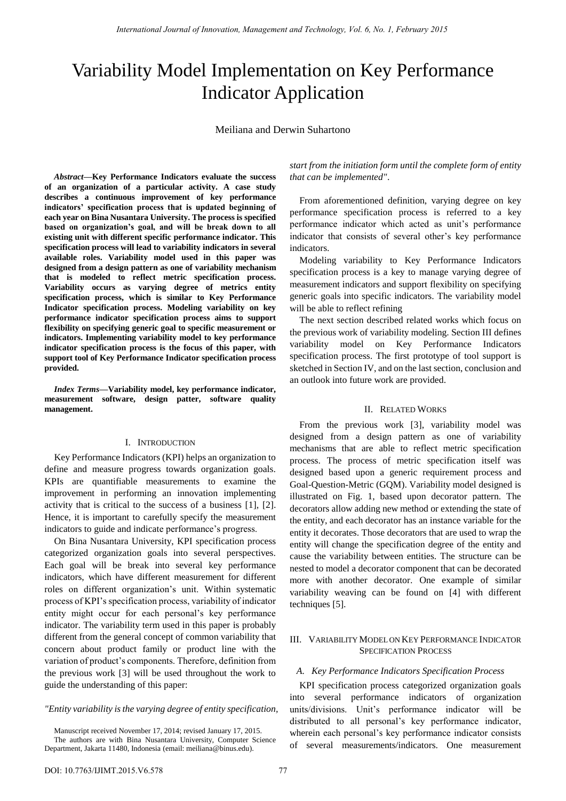# Variability Model Implementation on Key Performance Indicator Application

Meiliana and Derwin Suhartono

*Abstract***—Key Performance Indicators evaluate the success of an organization of a particular activity. A case study describes a continuous improvement of key performance indicators' specification process that is updated beginning of each year on Bina Nusantara University. The process is specified based on organization's goal, and will be break down to all existing unit with different specific performance indicator. This specification process will lead to variability indicators in several available roles. Variability model used in this paper was designed from a design pattern as one of variability mechanism that is modeled to reflect metric specification process. Variability occurs as varying degree of metrics entity specification process, which is similar to Key Performance Indicator specification process. Modeling variability on key performance indicator specification process aims to support flexibility on specifying generic goal to specific measurement or indicators. Implementing variability model to key performance indicator specification process is the focus of this paper, with support tool of Key Performance Indicator specification process provided.** 

*Index Terms***—Variability model, key performance indicator, measurement software, design patter, software quality management.** 

# I. INTRODUCTION

Key Performance Indicators (KPI) helps an organization to define and measure progress towards organization goals. KPIs are quantifiable measurements to examine the improvement in performing an innovation implementing activity that is critical to the success of a business [1], [2]. Hence, it is important to carefully specify the measurement indicators to guide and indicate performance's progress.

On Bina Nusantara University, KPI specification process categorized organization goals into several perspectives. Each goal will be break into several key performance indicators, which have different measurement for different roles on different organization's unit. Within systematic process of KPI's specification process, variability of indicator entity might occur for each personal's key performance indicator. The variability term used in this paper is probably different from the general concept of common variability that concern about product family or product line with the variation of product's components. Therefore, definition from the previous work [3] will be used throughout the work to guide the understanding of this paper:

#### *"Entity variability is the varying degree of entity specification,*

Manuscript received November 17, 2014; revised January 17, 2015. The authors are with Bina Nusantara University, Computer Science Department, Jakarta 11480, Indonesia (email[: meiliana@binus.edu\)](http://mail.ym.163.com/jy3/compose/main.jsp?urlfrom=..%2fread%2fread.jsp%3foffset%3d0%26mid%3dABIAqQAMADWabsI5MU2SPqqu%26sid%3dP0JA3708x664i9a2zirBucNiCzhXJXoi%26isSearch%3dtrue%26wanglai%3don&sid=P0JA3708x664i9a2zirBucNiCzhXJXoi&to=meiliana@binus.edu).

*start from the initiation form until the complete form of entity that can be implemented"*.

From aforementioned definition, varying degree on key performance specification process is referred to a key performance indicator which acted as unit's performance indicator that consists of several other's key performance indicators.

Modeling variability to Key Performance Indicators specification process is a key to manage varying degree of measurement indicators and support flexibility on specifying generic goals into specific indicators. The variability model will be able to reflect refining

The next section described related works which focus on the previous work of variability modeling. Section III defines variability model on Key Performance Indicators specification process. The first prototype of tool support is sketched in Section IV, and on the last section, conclusion and an outlook into future work are provided.

# II. RELATED WORKS

From the previous work [3], variability model was designed from a design pattern as one of variability mechanisms that are able to reflect metric specification process. The process of metric specification itself was designed based upon a generic requirement process and Goal-Question-Metric (GQM). Variability model designed is illustrated on Fig. 1, based upon decorator pattern. The decorators allow adding new method or extending the state of the entity, and each decorator has an instance variable for the entity it decorates. Those decorators that are used to wrap the entity will change the specification degree of the entity and cause the variability between entities. The structure can be nested to model a decorator component that can be decorated more with another decorator. One example of similar variability weaving can be found on [4] with different techniques [5].

## III. VARIABILITY MODEL ON KEY PERFORMANCE INDICATOR SPECIFICATION PROCESS

#### *A. Key Performance Indicators Specification Process*

KPI specification process categorized organization goals into several performance indicators of organization units/divisions. Unit's performance indicator will be distributed to all personal's key performance indicator, wherein each personal's key performance indicator consists of several measurements/indicators. One measurement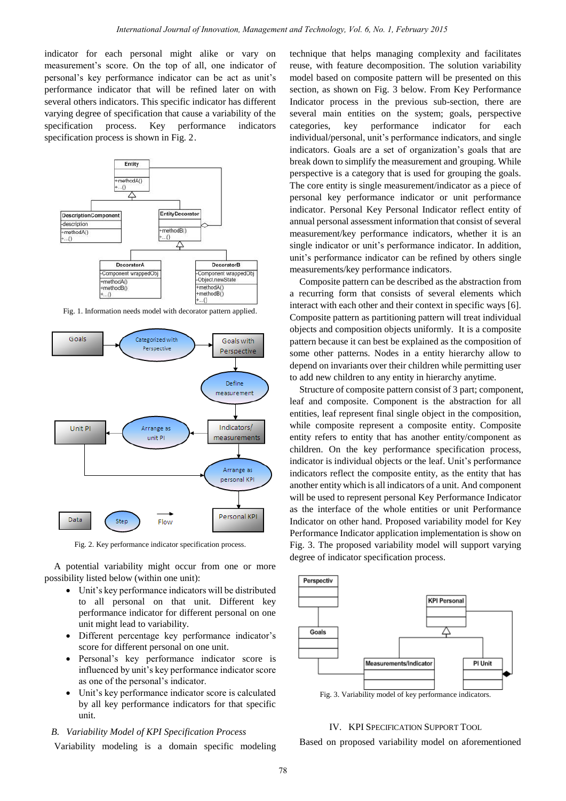indicator for each personal might alike or vary on measurement's score. On the top of all, one indicator of personal's key performance indicator can be act as unit's performance indicator that will be refined later on with several others indicators. This specific indicator has different varying degree of specification that cause a variability of the specification process. Key performance indicators specification process is shown in Fig. 2.



Fig. 1. Information needs model with decorator pattern applied.



Fig. 2. Key performance indicator specification process.

A potential variability might occur from one or more possibility listed below (within one unit):

- Unit's key performance indicators will be distributed to all personal on that unit. Different key performance indicator for different personal on one unit might lead to variability.
- Different percentage key performance indicator's score for different personal on one unit.
- Personal's key performance indicator score is influenced by unit's key performance indicator score as one of the personal's indicator.
- Unit's key performance indicator score is calculated by all key performance indicators for that specific unit.

# *B. Variability Model of KPI Specification Process*

Variability modeling is a domain specific modeling

technique that helps managing complexity and facilitates reuse, with feature decomposition. The solution variability model based on composite pattern will be presented on this section, as shown on Fig. 3 below. From Key Performance Indicator process in the previous sub-section, there are several main entities on the system; goals, perspective categories, key performance indicator for each individual/personal, unit's performance indicators, and single indicators. Goals are a set of organization's goals that are break down to simplify the measurement and grouping. While perspective is a category that is used for grouping the goals. The core entity is single measurement/indicator as a piece of personal key performance indicator or unit performance indicator. Personal Key Personal Indicator reflect entity of annual personal assessment information that consist of several measurement/key performance indicators, whether it is an single indicator or unit's performance indicator. In addition, unit's performance indicator can be refined by others single measurements/key performance indicators.

Composite pattern can be described as the abstraction from a recurring form that consists of several elements which interact with each other and their context in specific ways [6]. Composite pattern as partitioning pattern will treat individual objects and composition objects uniformly. It is a composite pattern because it can best be explained as the composition of some other patterns. Nodes in a entity hierarchy allow to depend on invariants over their children while permitting user to add new children to any entity in hierarchy anytime.

Structure of composite pattern consist of 3 part; component, leaf and composite. Component is the abstraction for all entities, leaf represent final single object in the composition, while composite represent a composite entity. Composite entity refers to entity that has another entity/component as children. On the key performance specification process, indicator is individual objects or the leaf. Unit's performance indicators reflect the composite entity, as the entity that has another entity which is all indicators of a unit. And component will be used to represent personal Key Performance Indicator as the interface of the whole entities or unit Performance Indicator on other hand. Proposed variability model for Key Performance Indicator application implementation is show on Fig. 3. The proposed variability model will support varying degree of indicator specification process.



# IV. KPI SPECIFICATION SUPPORT TOOL

Based on proposed variability model on aforementioned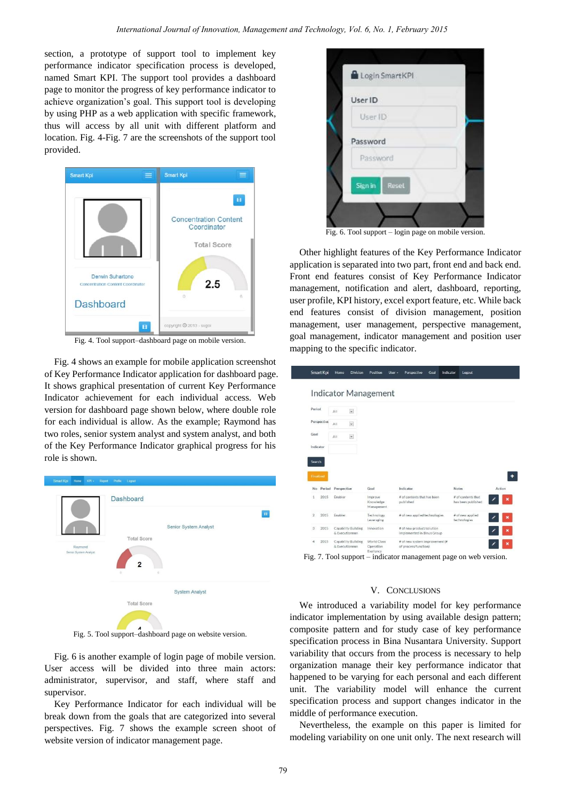section, a prototype of support tool to implement key performance indicator specification process is developed, named Smart KPI. The support tool provides a dashboard page to monitor the progress of key performance indicator to achieve organization's goal. This support tool is developing by using PHP as a web application with specific framework, thus will access by all unit with different platform and location. Fig. 4-Fig. 7 are the screenshots of the support tool provided.



Fig. 4. Tool support–dashboard page on mobile version.

Fig. 4 shows an example for mobile application screenshot of Key Performance Indicator application for dashboard page. It shows graphical presentation of current Key Performance Indicator achievement for each individual access. Web version for dashboard page shown below, where double role for each individual is allow. As the example; Raymond has two roles, senior system analyst and system analyst, and both of the Key Performance Indicator graphical progress for his role is shown.



Fig. 5. Tool support–dashboard page on website version.

Fig. 6 is another example of login page of mobile version. User access will be divided into three main actors: administrator, supervisor, and staff, where staff and supervisor.

Key Performance Indicator for each individual will be break down from the goals that are categorized into several perspectives. Fig. 7 shows the example screen shoot of website version of indicator management page.



Fig. 6. Tool support – login page on mobile version.

Other highlight features of the Key Performance Indicator application is separated into two part, front end and back end. Front end features consist of Key Performance Indicator management, notification and alert, dashboard, reporting, user profile, KPI history, excel export feature, etc. While back end features consist of division management, position management, user management, perspective management, goal management, indicator management and position user mapping to the specific indicator.

|                        |             |                                       | <b>Indicator Management</b>        |                                                         |                                          |        |
|------------------------|-------------|---------------------------------------|------------------------------------|---------------------------------------------------------|------------------------------------------|--------|
| Period                 | All         | $\check{\phantom{a}}$                 |                                    |                                                         |                                          |        |
| Perspective            | All         | $\check{~}$                           |                                    |                                                         |                                          |        |
| Goal                   | All         | $\check{}$                            |                                    |                                                         |                                          |        |
| Indicator              |             |                                       |                                    |                                                         |                                          |        |
| Finalized              |             |                                       |                                    |                                                         |                                          |        |
| Period<br>No           | Perspective |                                       | Goal                               | Indicator                                               | <b>Notes</b>                             | Action |
| 2015<br>1              | Enabler     |                                       | Improve<br>Knowledge<br>Management | # of contents that has been<br>published                | # of contents that<br>has been published |        |
| $\overline{2}$<br>2015 | Enabler     |                                       | Technology<br>Leveraging           | # of new applied technologies                           | # of new applied<br>technologies         |        |
| $\mathbf{3}$<br>2015   |             | Capability Building<br>& Executionnon | Innovation                         | # of new product/solution<br>implemented in Binus Group |                                          |        |

Fig. 7. Tool support – indicator management page on web version.

## V. CONCLUSIONS

We introduced a variability model for key performance indicator implementation by using available design pattern; composite pattern and for study case of key performance specification process in Bina Nusantara University. Support variability that occurs from the process is necessary to help organization manage their key performance indicator that happened to be varying for each personal and each different unit. The variability model will enhance the current specification process and support changes indicator in the middle of performance execution.

Nevertheless, the example on this paper is limited for modeling variability on one unit only. The next research will